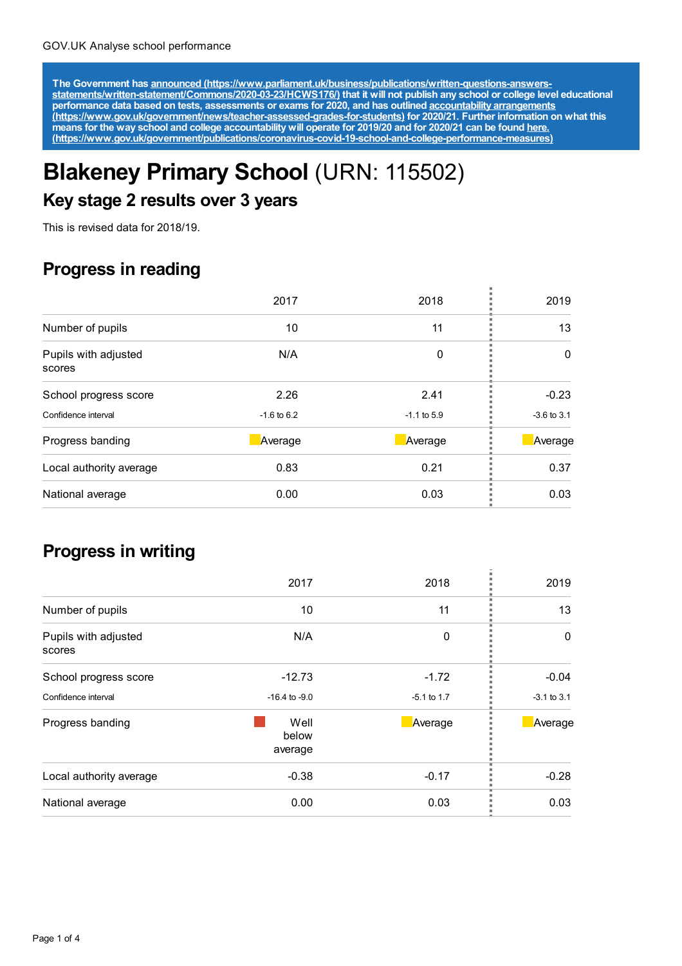The Government has announced [\(https://www.parliament.uk/business/publications/written-questions-answers-](https://www.parliament.uk/business/publications/written-questions-answers-statements/written-statement/Commons/2020-03-23/HCWS176/)<br>statements/written-statement/Commons/2020-03-23/HCWS176/) that it will not publish any school or college level educat **performance data based on tests, assessments or exams for 2020, and has outlined accountability arrangements [\(https://www.gov.uk/government/news/teacher-assessed-grades-for-students\)](https://www.gov.uk/government/news/teacher-assessed-grades-for-students) for 2020/21. Further information on what this** means for the way school and college accountability will operate for 2019/20 and for 2020/21 can be found <u>here.</u> **[\(https://www.gov.uk/government/publications/coronavirus-covid-19-school-and-college-performance-measures\)](https://www.gov.uk/government/publications/coronavirus-covid-19-school-and-college-performance-measures)**

# **Blakeney Primary School** (URN: 115502)

## **Key stage 2 results over 3 years**

This is revised data for 2018/19.

#### **Progress in reading**

|                                | 2017            | 2018          | 2019            |
|--------------------------------|-----------------|---------------|-----------------|
| Number of pupils               | 10              | 11            | 13              |
| Pupils with adjusted<br>scores | N/A             | 0             | 0               |
| School progress score          | 2.26            | 2.41          | $-0.23$         |
| Confidence interval            | $-1.6$ to $6.2$ | $-1.1$ to 5.9 | $-3.6$ to $3.1$ |
| Progress banding               | Average         | Average       | Average         |
| Local authority average        | 0.83            | 0.21          | 0.37            |
| National average               | 0.00            | 0.03          | 0.03            |

#### **Progress in writing**

|                                | 2017                     | 2018          | 2019            |
|--------------------------------|--------------------------|---------------|-----------------|
| Number of pupils               | 10                       | 11            | 13              |
| Pupils with adjusted<br>scores | N/A                      | 0             | 0               |
| School progress score          | $-12.73$                 | $-1.72$       | $-0.04$         |
| Confidence interval            | $-16.4$ to $-9.0$        | $-5.1$ to 1.7 | $-3.1$ to $3.1$ |
| Progress banding               | Well<br>below<br>average | Average       | Average         |
| Local authority average        | $-0.38$                  | $-0.17$       | $-0.28$         |
| National average               | 0.00                     | 0.03          | 0.03            |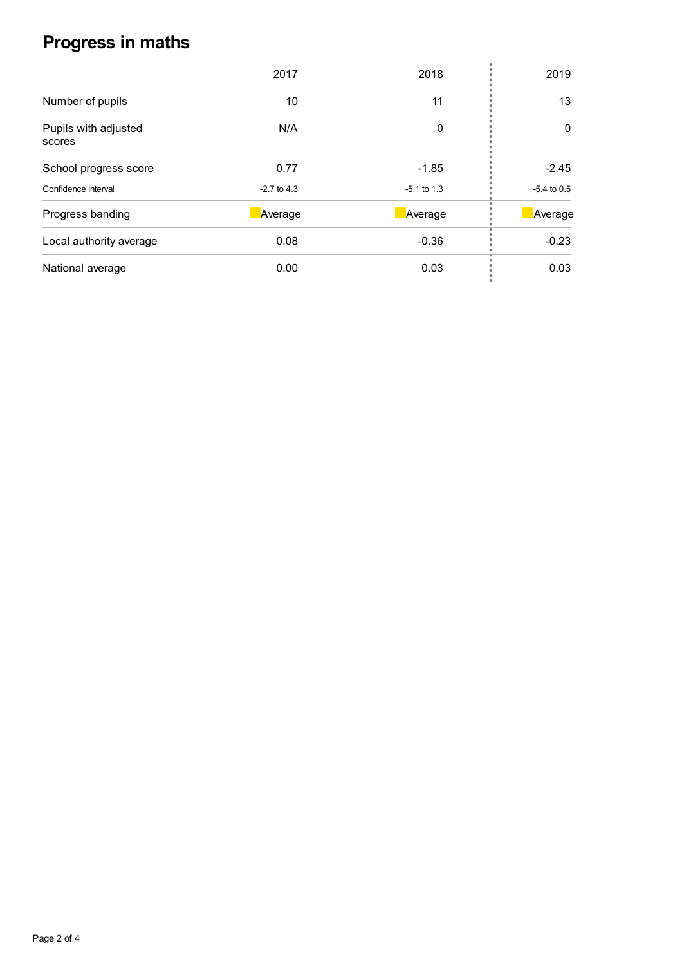## **Progress in maths**

|                                | 2017          | 2018          | 2019          |
|--------------------------------|---------------|---------------|---------------|
| Number of pupils               | 10            | 11            | 13            |
| Pupils with adjusted<br>scores | N/A           | 0             | 0             |
| School progress score          | 0.77          | $-1.85$       | $-2.45$       |
| Confidence interval            | $-2.7$ to 4.3 | $-5.1$ to 1.3 | $-5.4$ to 0.5 |
| Progress banding               | Average       | Average       | Average       |
| Local authority average        | 0.08          | $-0.36$       | $-0.23$       |
| National average               | 0.00          | 0.03          | 0.03          |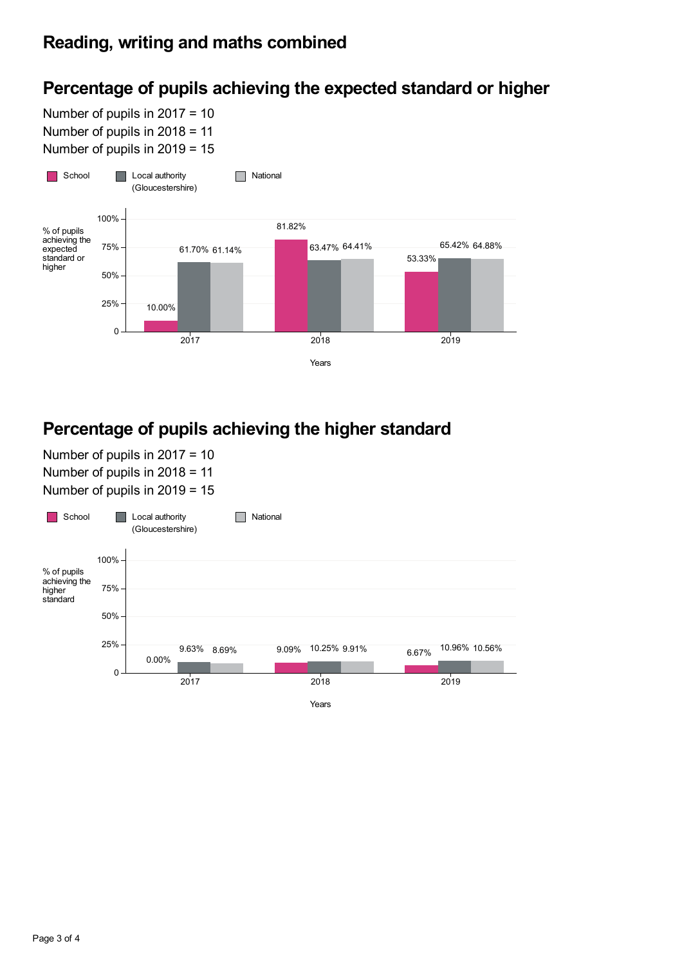## **Percentage of pupils achieving the expected standard or higher**

Number of pupils in 2017 = 10 Number of pupils in 2018 = 11 Number of pupils in 2019 = 15



### **Percentage of pupils achieving the higher standard**

Number of pupils in 2017 = 10 Number of pupils in 2018 = 11 Number of pupils in 2019 = 15